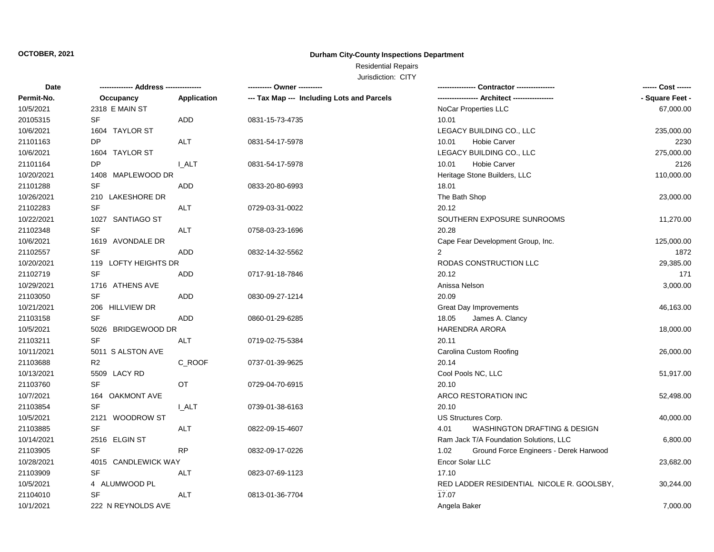## **Durham City-County Inspections Department**

Residential Repairs

| Date       | -------------- Address --------------- |                    | ---------- Owner ----------                |                                                 | ------ Cost ------ |
|------------|----------------------------------------|--------------------|--------------------------------------------|-------------------------------------------------|--------------------|
| Permit-No. | Occupancy                              | <b>Application</b> | --- Tax Map --- Including Lots and Parcels |                                                 | - Square Feet -    |
| 10/5/2021  | 2318 E MAIN ST                         |                    |                                            | NoCar Properties LLC                            | 67,000.00          |
| 20105315   | SF                                     | <b>ADD</b>         | 0831-15-73-4735                            | 10.01                                           |                    |
| 10/6/2021  | 1604 TAYLOR ST                         |                    |                                            | LEGACY BUILDING CO., LLC                        | 235,000.00         |
| 21101163   | <b>DP</b>                              | <b>ALT</b>         | 0831-54-17-5978                            | 10.01<br><b>Hobie Carver</b>                    | 2230               |
| 10/6/2021  | 1604 TAYLOR ST                         |                    |                                            | LEGACY BUILDING CO., LLC                        | 275,000.00         |
| 21101164   | <b>DP</b>                              | I ALT              | 0831-54-17-5978                            | Hobie Carver<br>10.01                           | 2126               |
| 10/20/2021 | 1408 MAPLEWOOD DR                      |                    |                                            | Heritage Stone Builders, LLC                    | 110,000.00         |
| 21101288   | SF                                     | ADD                | 0833-20-80-6993                            | 18.01                                           |                    |
| 10/26/2021 | 210 LAKESHORE DR                       |                    |                                            | The Bath Shop                                   | 23,000.00          |
| 21102283   | <b>SF</b>                              | ALT                | 0729-03-31-0022                            | 20.12                                           |                    |
| 10/22/2021 | 1027 SANTIAGO ST                       |                    |                                            | SOUTHERN EXPOSURE SUNROOMS                      | 11,270.00          |
| 21102348   | <b>SF</b>                              | <b>ALT</b>         | 0758-03-23-1696                            | 20.28                                           |                    |
| 10/6/2021  | 1619 AVONDALE DR                       |                    |                                            | Cape Fear Development Group, Inc.               | 125,000.00         |
| 21102557   | <b>SF</b>                              | <b>ADD</b>         | 0832-14-32-5562                            | $\overline{2}$                                  | 1872               |
| 10/20/2021 | 119 LOFTY HEIGHTS DR                   |                    |                                            | RODAS CONSTRUCTION LLC                          | 29,385.00          |
| 21102719   | <b>SF</b>                              | <b>ADD</b>         | 0717-91-18-7846                            | 20.12                                           | 171                |
| 10/29/2021 | 1716 ATHENS AVE                        |                    |                                            | Anissa Nelson                                   | 3,000.00           |
| 21103050   | <b>SF</b>                              | <b>ADD</b>         | 0830-09-27-1214                            | 20.09                                           |                    |
| 10/21/2021 | 206 HILLVIEW DR                        |                    |                                            | Great Day Improvements                          | 46,163.00          |
| 21103158   | <b>SF</b>                              | ADD                | 0860-01-29-6285                            | 18.05<br>James A. Clancy                        |                    |
| 10/5/2021  | 5026 BRIDGEWOOD DR                     |                    |                                            | HARENDRA ARORA                                  | 18,000.00          |
| 21103211   | <b>SF</b>                              | ALT                | 0719-02-75-5384                            | 20.11                                           |                    |
| 10/11/2021 | 5011 S ALSTON AVE                      |                    |                                            | Carolina Custom Roofing                         | 26,000.00          |
| 21103688   | R <sub>2</sub>                         | C_ROOF             | 0737-01-39-9625                            | 20.14                                           |                    |
| 10/13/2021 | 5509 LACY RD                           |                    |                                            | Cool Pools NC, LLC                              | 51,917.00          |
| 21103760   | <b>SF</b>                              | OT                 | 0729-04-70-6915                            | 20.10                                           |                    |
| 10/7/2021  | 164 OAKMONT AVE                        |                    |                                            | ARCO RESTORATION INC                            | 52,498.00          |
| 21103854   | <b>SF</b>                              | <b>I_ALT</b>       | 0739-01-38-6163                            | 20.10                                           |                    |
| 10/5/2021  | 2121 WOODROW ST                        |                    |                                            | US Structures Corp.                             | 40,000.00          |
| 21103885   | <b>SF</b>                              | <b>ALT</b>         | 0822-09-15-4607                            | 4.01<br><b>WASHINGTON DRAFTING &amp; DESIGN</b> |                    |
| 10/14/2021 | 2516 ELGIN ST                          |                    |                                            | Ram Jack T/A Foundation Solutions, LLC          | 6,800.00           |
| 21103905   | SF                                     | <b>RP</b>          | 0832-09-17-0226                            | 1.02<br>Ground Force Engineers - Derek Harwood  |                    |
| 10/28/2021 | 4015 CANDLEWICK WAY                    |                    |                                            | Encor Solar LLC                                 | 23,682.00          |
| 21103909   | <b>SF</b>                              | ALT                | 0823-07-69-1123                            | 17.10                                           |                    |
| 10/5/2021  | 4 ALUMWOOD PL                          |                    |                                            | RED LADDER RESIDENTIAL NICOLE R. GOOLSBY,       | 30,244.00          |
| 21104010   | <b>SF</b>                              | <b>ALT</b>         | 0813-01-36-7704                            | 17.07                                           |                    |
| 10/1/2021  | 222 N REYNOLDS AVE                     |                    |                                            | Angela Baker                                    | 7,000.00           |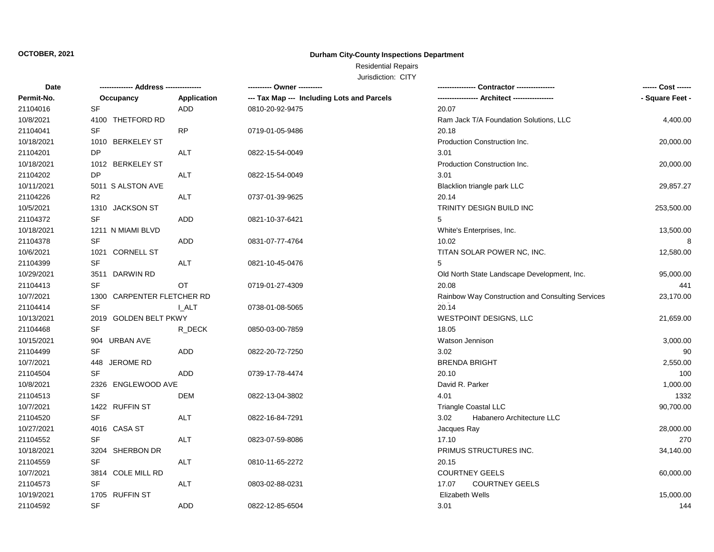## **Durham City-County Inspections Department**

Residential Repairs

| Date       |                            |              |                                            |                                                  | ------ Cost ------ |
|------------|----------------------------|--------------|--------------------------------------------|--------------------------------------------------|--------------------|
| Permit-No. | Occupancy                  | Application  | --- Tax Map --- Including Lots and Parcels |                                                  | - Square Feet -    |
| 21104016   | SF                         | ADD          | 0810-20-92-9475                            | 20.07                                            |                    |
| 10/8/2021  | 4100 THETFORD RD           |              |                                            | Ram Jack T/A Foundation Solutions, LLC           | 4,400.00           |
| 21104041   | <b>SF</b>                  | <b>RP</b>    | 0719-01-05-9486                            | 20.18                                            |                    |
| 10/18/2021 | 1010 BERKELEY ST           |              |                                            | Production Construction Inc.                     | 20,000.00          |
| 21104201   | <b>DP</b>                  | <b>ALT</b>   | 0822-15-54-0049                            | 3.01                                             |                    |
| 10/18/2021 | 1012 BERKELEY ST           |              |                                            | Production Construction Inc.                     | 20,000.00          |
| 21104202   | DP                         | <b>ALT</b>   | 0822-15-54-0049                            | 3.01                                             |                    |
| 10/11/2021 | 5011 S ALSTON AVE          |              |                                            | Blacklion triangle park LLC                      | 29,857.27          |
| 21104226   | R2                         | <b>ALT</b>   | 0737-01-39-9625                            | 20.14                                            |                    |
| 10/5/2021  | 1310 JACKSON ST            |              |                                            | TRINITY DESIGN BUILD INC                         | 253,500.00         |
| 21104372   | <b>SF</b>                  | <b>ADD</b>   | 0821-10-37-6421                            | 5                                                |                    |
| 10/18/2021 | 1211 N MIAMI BLVD          |              |                                            | White's Enterprises, Inc.                        | 13,500.00          |
| 21104378   | <b>SF</b>                  | ADD          | 0831-07-77-4764                            | 10.02                                            | 8                  |
| 10/6/2021  | 1021 CORNELL ST            |              |                                            | TITAN SOLAR POWER NC, INC.                       | 12,580.00          |
| 21104399   | <b>SF</b>                  | <b>ALT</b>   | 0821-10-45-0476                            | 5                                                |                    |
| 10/29/2021 | 3511 DARWIN RD             |              |                                            | Old North State Landscape Development, Inc.      | 95,000.00          |
| 21104413   | <b>SF</b>                  | OT           | 0719-01-27-4309                            | 20.08                                            | 441                |
| 10/7/2021  | 1300 CARPENTER FLETCHER RD |              |                                            | Rainbow Way Construction and Consulting Services | 23,170.00          |
| 21104414   | <b>SF</b>                  | <b>L_ALT</b> | 0738-01-08-5065                            | 20.14                                            |                    |
| 10/13/2021 | 2019 GOLDEN BELT PKWY      |              |                                            | WESTPOINT DESIGNS, LLC                           | 21,659.00          |
| 21104468   | <b>SF</b>                  | R DECK       | 0850-03-00-7859                            | 18.05                                            |                    |
| 10/15/2021 | 904 URBAN AVE              |              |                                            | Watson Jennison                                  | 3,000.00           |
| 21104499   | <b>SF</b>                  | ADD          | 0822-20-72-7250                            | 3.02                                             | 90                 |
| 10/7/2021  | 448 JEROME RD              |              |                                            | <b>BRENDA BRIGHT</b>                             | 2,550.00           |
| 21104504   | <b>SF</b>                  | ADD          | 0739-17-78-4474                            | 20.10                                            | 100                |
| 10/8/2021  | 2326 ENGLEWOOD AVE         |              |                                            | David R. Parker                                  | 1,000.00           |
| 21104513   | <b>SF</b>                  | <b>DEM</b>   | 0822-13-04-3802                            | 4.01                                             | 1332               |
| 10/7/2021  | 1422 RUFFIN ST             |              |                                            | Triangle Coastal LLC                             | 90,700.00          |
| 21104520   | SF                         | <b>ALT</b>   | 0822-16-84-7291                            | 3.02<br>Habanero Architecture LLC                |                    |
| 10/27/2021 | 4016 CASA ST               |              |                                            | Jacques Ray                                      | 28,000.00          |
| 21104552   | <b>SF</b>                  | <b>ALT</b>   | 0823-07-59-8086                            | 17.10                                            | 270                |
| 10/18/2021 | 3204 SHERBON DR            |              |                                            | PRIMUS STRUCTURES INC.                           | 34,140.00          |
| 21104559   | SF                         | <b>ALT</b>   | 0810-11-65-2272                            | 20.15                                            |                    |
| 10/7/2021  | 3814 COLE MILL RD          |              |                                            | <b>COURTNEY GEELS</b>                            | 60,000.00          |
| 21104573   | <b>SF</b>                  | <b>ALT</b>   | 0803-02-88-0231                            | 17.07<br><b>COURTNEY GEELS</b>                   |                    |
| 10/19/2021 | 1705 RUFFIN ST             |              |                                            | Elizabeth Wells                                  | 15,000.00          |
| 21104592   | <b>SF</b>                  | <b>ADD</b>   | 0822-12-85-6504                            | 3.01                                             | 144                |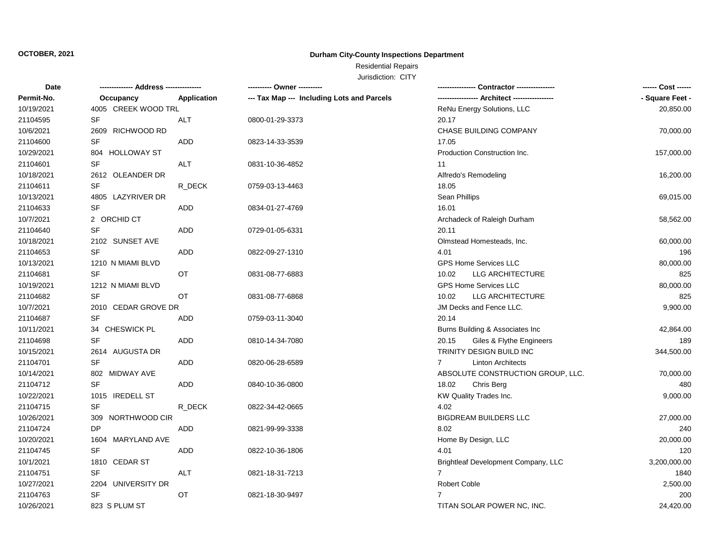# **Durham City-County Inspections Department**

# Residential Repairs

| --- Tax Map --- Including Lots and Parcels<br>Permit-No.<br>Application<br>Occupancy          | - Square Feet - |
|-----------------------------------------------------------------------------------------------|-----------------|
| 4005 CREEK WOOD TRL<br>ReNu Energy Solutions, LLC<br>10/19/2021                               | 20,850.00       |
| SF<br>20.17<br>21104595<br>ALT<br>0800-01-29-3373                                             |                 |
| 10/6/2021<br>2609 RICHWOOD RD<br>CHASE BUILDING COMPANY                                       | 70,000.00       |
| 21104600<br>SF<br>ADD<br>17.05<br>0823-14-33-3539                                             |                 |
| 10/29/2021<br>804 HOLLOWAY ST<br>Production Construction Inc.                                 | 157,000.00      |
| 21104601<br>SF<br><b>ALT</b><br>0831-10-36-4852<br>11                                         |                 |
| 10/18/2021<br>2612 OLEANDER DR<br>Alfredo's Remodeling                                        | 16,200.00       |
| 21104611<br>SF<br>R_DECK<br>0759-03-13-4463<br>18.05                                          |                 |
| 10/13/2021<br>4805 LAZYRIVER DR<br>Sean Phillips                                              | 69,015.00       |
| 21104633<br>SF<br>ADD<br>0834-01-27-4769<br>16.01                                             |                 |
| 10/7/2021<br>2 ORCHID CT<br>Archadeck of Raleigh Durham                                       | 58,562.00       |
| <b>SF</b><br>21104640<br>ADD<br>20.11<br>0729-01-05-6331                                      |                 |
| 10/18/2021<br>2102 SUNSET AVE<br>Olmstead Homesteads, Inc.                                    | 60,000.00       |
| <b>SF</b><br>21104653<br>ADD<br>4.01<br>0822-09-27-1310                                       | 196             |
| 10/13/2021<br>1210 N MIAMI BLVD<br><b>GPS Home Services LLC</b>                               | 80,000.00       |
| <b>SF</b><br>OT<br>21104681<br>10.02<br>LLG ARCHITECTURE<br>0831-08-77-6883                   | 825             |
| 10/19/2021<br>GPS Home Services LLC<br>1212 N MIAMI BLVD                                      | 80,000.00       |
| 21104682<br><b>SF</b><br>LLG ARCHITECTURE<br>OT<br>10.02<br>0831-08-77-6868                   | 825             |
| 10/7/2021<br>JM Decks and Fence LLC.<br>2010 CEDAR GROVE DR                                   | 9,900.00        |
| 21104687<br><b>SF</b><br><b>ADD</b><br>20.14<br>0759-03-11-3040                               |                 |
| 10/11/2021<br>34 CHESWICK PL<br>Burns Building & Associates Inc                               | 42,864.00       |
| <b>SF</b><br>21104698<br><b>ADD</b><br>Giles & Flythe Engineers<br>0810-14-34-7080<br>20.15   | 189             |
| 10/15/2021<br>TRINITY DESIGN BUILD INC<br>2614 AUGUSTA DR                                     | 344,500.00      |
| <b>SF</b><br>21104701<br>ADD<br>$\overline{7}$<br><b>Linton Architects</b><br>0820-06-28-6589 |                 |
| 10/14/2021<br>802 MIDWAY AVE<br>ABSOLUTE CONSTRUCTION GROUP, LLC.                             | 70,000.00       |
| 21104712<br><b>SF</b><br>18.02<br>ADD<br>Chris Berg<br>0840-10-36-0800                        | 480             |
| 10/22/2021<br>1015 IREDELL ST<br>KW Quality Trades Inc.                                       | 9,000.00        |
| SF<br>21104715<br>4.02<br>R_DECK<br>0822-34-42-0665                                           |                 |
| 10/26/2021<br>309 NORTHWOOD CIR<br><b>BIGDREAM BUILDERS LLC</b>                               | 27,000.00       |
| 21104724<br>DP<br>ADD<br>0821-99-99-3338<br>8.02                                              | 240             |
| 10/20/2021<br>1604 MARYLAND AVE<br>Home By Design, LLC                                        | 20,000.00       |
| 21104745<br>SF<br><b>ADD</b><br>0822-10-36-1806<br>4.01                                       | 120             |
| 10/1/2021<br>1810 CEDAR ST<br>Brightleaf Development Company, LLC                             | 3,200,000.00    |
| <b>SF</b><br>21104751<br><b>ALT</b><br>0821-18-31-7213<br>$\overline{7}$                      | 1840            |
| 10/27/2021<br>2204 UNIVERSITY DR<br>Robert Coble                                              | 2,500.00        |
| <b>SF</b><br>21104763<br>OT<br>$\overline{7}$<br>0821-18-30-9497                              | 200             |
| 10/26/2021<br>823 S PLUM ST<br>TITAN SOLAR POWER NC, INC.                                     | 24,420.00       |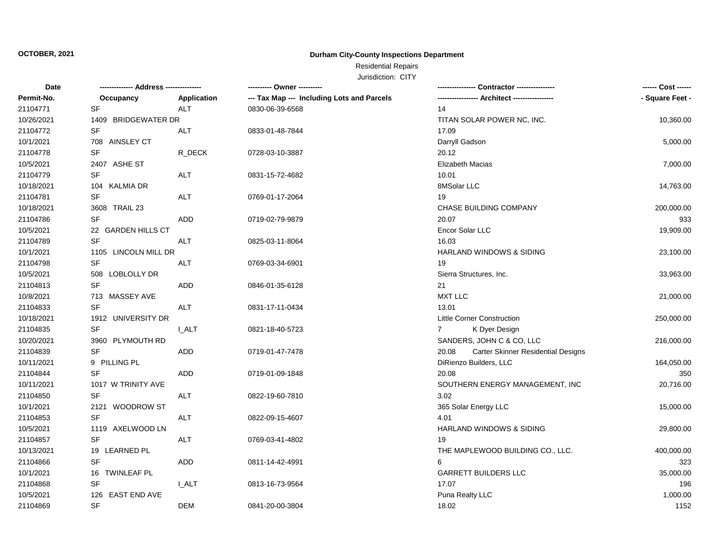## **Durham City-County Inspections Department**

# Residential Repairs

| Date       | -------------- Address --------------- |              |                                            | Contractor ---------------                  | ------ Cost ------ |
|------------|----------------------------------------|--------------|--------------------------------------------|---------------------------------------------|--------------------|
| Permit-No. | Occupancy                              | Application  | --- Tax Map --- Including Lots and Parcels | ---------------- Architect ---------------- | - Square Feet -    |
| 21104771   | <b>SF</b>                              | <b>ALT</b>   | 0830-06-39-6568                            | 14                                          |                    |
| 10/26/2021 | 1409 BRIDGEWATER DR                    |              |                                            | TITAN SOLAR POWER NC, INC.                  | 10,360.00          |
| 21104772   | <b>SF</b>                              | <b>ALT</b>   | 0833-01-48-7844                            | 17.09                                       |                    |
| 10/1/2021  | 708 AINSLEY CT                         |              |                                            | Darryll Gadson                              | 5,000.00           |
| 21104778   | <b>SF</b>                              | R_DECK       | 0728-03-10-3887                            | 20.12                                       |                    |
| 10/5/2021  | 2407 ASHE ST                           |              |                                            | Elizabeth Macias                            | 7,000.00           |
| 21104779   | <b>SF</b>                              | <b>ALT</b>   | 0831-15-72-4682                            | 10.01                                       |                    |
| 10/18/2021 | 104 KALMIA DR                          |              |                                            | 8MSolar LLC                                 | 14,763.00          |
| 21104781   | <b>SF</b>                              | <b>ALT</b>   | 0769-01-17-2064                            | 19                                          |                    |
| 10/18/2021 | 3608 TRAIL 23                          |              |                                            | <b>CHASE BUILDING COMPANY</b>               | 200,000.00         |
| 21104786   | <b>SF</b>                              | <b>ADD</b>   | 0719-02-79-9879                            | 20.07                                       | 933                |
| 10/5/2021  | 22 GARDEN HILLS CT                     |              |                                            | Encor Solar LLC                             | 19,909.00          |
| 21104789   | SF                                     | ALT          | 0825-03-11-8064                            | 16.03                                       |                    |
| 10/1/2021  | 1105 LINCOLN MILL DR                   |              |                                            | HARLAND WINDOWS & SIDING                    | 23,100.00          |
| 21104798   | <b>SF</b>                              | <b>ALT</b>   | 0769-03-34-6901                            | 19                                          |                    |
| 10/5/2021  | 508 LOBLOLLY DR                        |              |                                            | Sierra Structures, Inc.                     | 33,963.00          |
| 21104813   | <b>SF</b>                              | ADD          | 0846-01-35-6128                            | 21                                          |                    |
| 10/8/2021  | 713 MASSEY AVE                         |              |                                            | <b>MXT LLC</b>                              | 21,000.00          |
| 21104833   | <b>SF</b>                              | <b>ALT</b>   | 0831-17-11-0434                            | 13.01                                       |                    |
| 10/18/2021 | 1912 UNIVERSITY DR                     |              |                                            | Little Corner Construction                  | 250,000.00         |
| 21104835   | <b>SF</b>                              | <b>I_ALT</b> | 0821-18-40-5723                            | K Dyer Design<br>$\overline{7}$             |                    |
| 10/20/2021 | 3960 PLYMOUTH RD                       |              |                                            | SANDERS, JOHN C & CO, LLC                   | 216,000.00         |
| 21104839   | <b>SF</b>                              | ADD          | 0719-01-47-7478                            | 20.08<br>Carter Skinner Residential Designs |                    |
| 10/11/2021 | 9 PILLING PL                           |              |                                            | DiRienzo Builders, LLC                      | 164,050.00         |
| 21104844   | <b>SF</b>                              | <b>ADD</b>   | 0719-01-09-1848                            | 20.08                                       | 350                |
| 10/11/2021 | 1017 W TRINITY AVE                     |              |                                            | SOUTHERN ENERGY MANAGEMENT, INC             | 20,716.00          |
| 21104850   | SF                                     | <b>ALT</b>   | 0822-19-60-7810                            | 3.02                                        |                    |
| 10/1/2021  | 2121 WOODROW ST                        |              |                                            | 365 Solar Energy LLC                        | 15,000.00          |
| 21104853   | <b>SF</b>                              | <b>ALT</b>   | 0822-09-15-4607                            | 4.01                                        |                    |
| 10/5/2021  | 1119 AXELWOOD LN                       |              |                                            | HARLAND WINDOWS & SIDING                    | 29,800.00          |
| 21104857   | <b>SF</b>                              | <b>ALT</b>   | 0769-03-41-4802                            | 19                                          |                    |
| 10/13/2021 | 19 LEARNED PL                          |              |                                            | THE MAPLEWOOD BUILDING CO., LLC.            | 400,000.00         |
| 21104866   | <b>SF</b>                              | <b>ADD</b>   | 0811-14-42-4991                            | 6                                           | 323                |
| 10/1/2021  | 16 TWINLEAF PL                         |              |                                            | <b>GARRETT BUILDERS LLC</b>                 | 35,000.00          |
| 21104868   | <b>SF</b>                              | <b>I_ALT</b> | 0813-16-73-9564                            | 17.07                                       | 196                |
| 10/5/2021  | 126 EAST END AVE                       |              |                                            | Puna Realty LLC                             | 1,000.00           |
| 21104869   | <b>SF</b>                              | <b>DEM</b>   | 0841-20-00-3804                            | 18.02                                       | 1152               |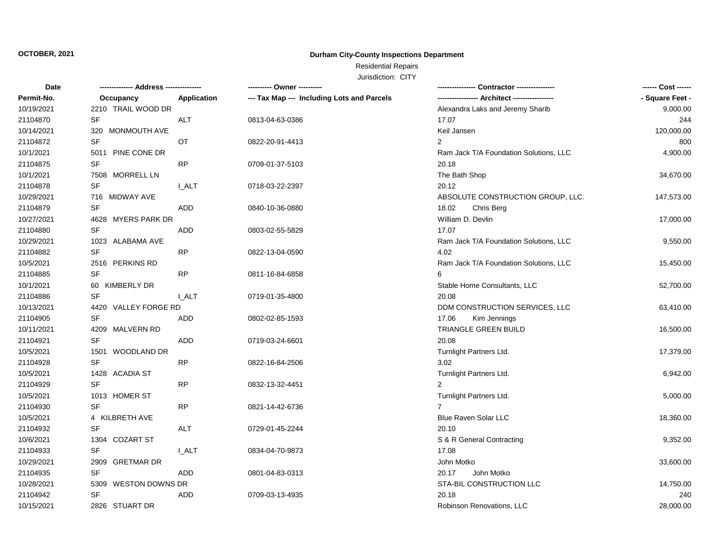## **Durham City-County Inspections Department**

# Residential Repairs

| Date       | -------------- Address --------- |                    | ---------- Owner ----------                |                                        |                 |
|------------|----------------------------------|--------------------|--------------------------------------------|----------------------------------------|-----------------|
| Permit-No. | Occupancy                        | <b>Application</b> | --- Tax Map --- Including Lots and Parcels |                                        | - Square Feet - |
| 10/19/2021 | 2210 TRAIL WOOD DR               |                    |                                            | Alexandra Laks and Jeremy Sharib       | 9,000.00        |
| 21104870   | <b>SF</b>                        | <b>ALT</b>         | 0813-04-63-0386                            | 17.07                                  | 244             |
| 10/14/2021 | 320 MONMOUTH AVE                 |                    |                                            | Keil Jansen                            | 120,000.00      |
| 21104872   | <b>SF</b>                        | OT                 | 0822-20-91-4413                            | $\overline{2}$                         | 800             |
| 10/1/2021  | 5011 PINE CONE DR                |                    |                                            | Ram Jack T/A Foundation Solutions, LLC | 4,900.00        |
| 21104875   | <b>SF</b>                        | <b>RP</b>          | 0709-01-37-5103                            | 20.18                                  |                 |
| 10/1/2021  | 7508 MORRELL LN                  |                    |                                            | The Bath Shop                          | 34,670.00       |
| 21104878   | <b>SF</b>                        | <b>I_ALT</b>       | 0718-03-22-2397                            | 20.12                                  |                 |
| 10/29/2021 | 716 MIDWAY AVE                   |                    |                                            | ABSOLUTE CONSTRUCTION GROUP, LLC.      | 147,573.00      |
| 21104879   | <b>SF</b>                        | <b>ADD</b>         | 0840-10-36-0880                            | 18.02<br>Chris Berg                    |                 |
| 10/27/2021 | 4628 MYERS PARK DR               |                    |                                            | William D. Devlin                      | 17,000.00       |
| 21104880   | SF                               | <b>ADD</b>         | 0803-02-55-5829                            | 17.07                                  |                 |
| 10/29/2021 | 1023 ALABAMA AVE                 |                    |                                            | Ram Jack T/A Foundation Solutions, LLC | 9,550.00        |
| 21104882   | SF                               | <b>RP</b>          | 0822-13-04-0590                            | 4.02                                   |                 |
| 10/5/2021  | 2516 PERKINS RD                  |                    |                                            | Ram Jack T/A Foundation Solutions, LLC | 15,450.00       |
| 21104885   | SF                               | <b>RP</b>          | 0811-16-84-6858                            | 6                                      |                 |
| 10/1/2021  | 60 KIMBERLY DR                   |                    |                                            | Stable Home Consultants, LLC           | 52,700.00       |
| 21104886   | <b>SF</b>                        | I ALT              | 0719-01-35-4800                            | 20.08                                  |                 |
| 10/13/2021 | 4420 VALLEY FORGE RD             |                    |                                            | DDM CONSTRUCTION SERVICES, LLC         | 63,410.00       |
| 21104905   | SF                               | <b>ADD</b>         | 0802-02-85-1593                            | 17.06<br>Kim Jennings                  |                 |
| 10/11/2021 | 4209 MALVERN RD                  |                    |                                            | TRIANGLE GREEN BUILD                   | 16,500.00       |
| 21104921   | <b>SF</b>                        | <b>ADD</b>         | 0719-03-24-6601                            | 20.08                                  |                 |
| 10/5/2021  | 1501 WOODLAND DR                 |                    |                                            | Turnlight Partners Ltd.                | 17,379.00       |
| 21104928   | <b>SF</b>                        | <b>RP</b>          | 0822-16-84-2506                            | 3.02                                   |                 |
| 10/5/2021  | 1428 ACADIA ST                   |                    |                                            | Turnlight Partners Ltd.                | 6,942.00        |
| 21104929   | SF                               | RP                 | 0832-13-32-4451                            | $\overline{2}$                         |                 |
| 10/5/2021  | 1013 HOMER ST                    |                    |                                            | Turnlight Partners Ltd.                | 5,000.00        |
| 21104930   | SF                               | <b>RP</b>          | 0821-14-42-6736                            |                                        |                 |
| 10/5/2021  | 4 KILBRETH AVE                   |                    |                                            | <b>Blue Raven Solar LLC</b>            | 18,360.00       |
| 21104932   | <b>SF</b>                        | <b>ALT</b>         | 0729-01-45-2244                            | 20.10                                  |                 |
| 10/6/2021  | 1304 COZART ST                   |                    |                                            | S & R General Contracting              | 9,352.00        |
| 21104933   | <b>SF</b>                        | <b>LALT</b>        | 0834-04-70-9873                            | 17.08                                  |                 |
| 10/29/2021 | 2909<br><b>GRETMAR DR</b>        |                    |                                            | John Motko                             | 33,600.00       |
| 21104935   | <b>SF</b>                        | <b>ADD</b>         | 0801-04-83-0313                            | 20.17<br>John Motko                    |                 |
| 10/28/2021 | 5309 WESTON DOWNS DR             |                    |                                            | STA-BIL CONSTRUCTION LLC               | 14,750.00       |
| 21104942   | <b>SF</b>                        | <b>ADD</b>         | 0709-03-13-4935                            | 20.18                                  | 240             |
| 10/15/2021 | 2826 STUART DR                   |                    |                                            | Robinson Renovations, LLC              | 28,000.00       |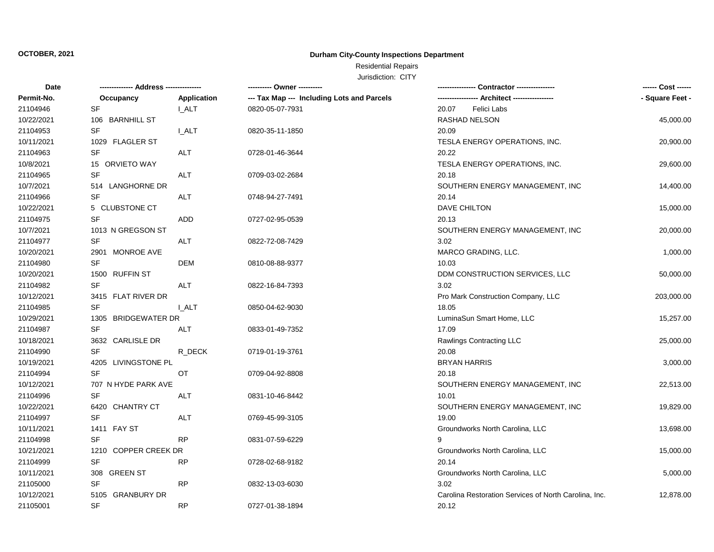## **Durham City-County Inspections Department**

Residential Repairs

| Date       | ------------- Address -------------- |              | ---------- Owner ----------                |                                                       | ------ Cost ------ |
|------------|--------------------------------------|--------------|--------------------------------------------|-------------------------------------------------------|--------------------|
| Permit-No. | Occupancy                            | Application  | --- Tax Map --- Including Lots and Parcels | -- Architect ------                                   | - Square Feet -    |
| 21104946   | <b>SF</b>                            | I ALT        | 0820-05-07-7931                            | Felici Labs<br>20.07                                  |                    |
| 10/22/2021 | 106 BARNHILL ST                      |              |                                            | <b>RASHAD NELSON</b>                                  | 45,000.00          |
| 21104953   | SF                                   | <b>I_ALT</b> | 0820-35-11-1850                            | 20.09                                                 |                    |
| 10/11/2021 | 1029 FLAGLER ST                      |              |                                            | TESLA ENERGY OPERATIONS, INC.                         | 20,900.00          |
| 21104963   | <b>SF</b>                            | ALT          | 0728-01-46-3644                            | 20.22                                                 |                    |
| 10/8/2021  | 15 ORVIETO WAY                       |              |                                            | TESLA ENERGY OPERATIONS, INC.                         | 29,600.00          |
| 21104965   | SF                                   | ALT          | 0709-03-02-2684                            | 20.18                                                 |                    |
| 10/7/2021  | 514 LANGHORNE DR                     |              |                                            | SOUTHERN ENERGY MANAGEMENT, INC                       | 14,400.00          |
| 21104966   | <b>SF</b>                            | <b>ALT</b>   | 0748-94-27-7491                            | 20.14                                                 |                    |
| 10/22/2021 | 5 CLUBSTONE CT                       |              |                                            | DAVE CHILTON                                          | 15,000.00          |
| 21104975   | <b>SF</b>                            | ADD          | 0727-02-95-0539                            | 20.13                                                 |                    |
| 10/7/2021  | 1013 N GREGSON ST                    |              |                                            | SOUTHERN ENERGY MANAGEMENT, INC                       | 20,000.00          |
| 21104977   | SF                                   | ALT          | 0822-72-08-7429                            | 3.02                                                  |                    |
| 10/20/2021 | 2901 MONROE AVE                      |              |                                            | MARCO GRADING, LLC.                                   | 1,000.00           |
| 21104980   | SF                                   | <b>DEM</b>   | 0810-08-88-9377                            | 10.03                                                 |                    |
| 10/20/2021 | 1500 RUFFIN ST                       |              |                                            | DDM CONSTRUCTION SERVICES, LLC                        | 50,000.00          |
| 21104982   | <b>SF</b>                            | <b>ALT</b>   | 0822-16-84-7393                            | 3.02                                                  |                    |
| 10/12/2021 | 3415 FLAT RIVER DR                   |              |                                            | Pro Mark Construction Company, LLC                    | 203,000.00         |
| 21104985   | SF                                   | <b>LALT</b>  | 0850-04-62-9030                            | 18.05                                                 |                    |
| 10/29/2021 | 1305 BRIDGEWATER DR                  |              |                                            | LuminaSun Smart Home, LLC                             | 15,257.00          |
| 21104987   | <b>SF</b>                            | ALT          | 0833-01-49-7352                            | 17.09                                                 |                    |
| 10/18/2021 | 3632 CARLISLE DR                     |              |                                            | Rawlings Contracting LLC                              | 25,000.00          |
| 21104990   | <b>SF</b>                            | R DECK       | 0719-01-19-3761                            | 20.08                                                 |                    |
| 10/19/2021 | 4205 LIVINGSTONE PL                  |              |                                            | <b>BRYAN HARRIS</b>                                   | 3,000.00           |
| 21104994   | SF                                   | ОT           | 0709-04-92-8808                            | 20.18                                                 |                    |
| 10/12/2021 | 707 N HYDE PARK AVE                  |              |                                            | SOUTHERN ENERGY MANAGEMENT, INC                       | 22,513.00          |
| 21104996   | SF                                   | <b>ALT</b>   | 0831-10-46-8442                            | 10.01                                                 |                    |
| 10/22/2021 | 6420 CHANTRY CT                      |              |                                            | SOUTHERN ENERGY MANAGEMENT, INC                       | 19,829.00          |
| 21104997   | <b>SF</b>                            | <b>ALT</b>   | 0769-45-99-3105                            | 19.00                                                 |                    |
| 10/11/2021 | 1411 FAY ST                          |              |                                            | Groundworks North Carolina, LLC                       | 13,698.00          |
| 21104998   | SF                                   | <b>RP</b>    | 0831-07-59-6229                            |                                                       |                    |
| 10/21/2021 | 1210 COPPER CREEK DR                 |              |                                            | Groundworks North Carolina, LLC                       | 15,000.00          |
| 21104999   | SF                                   | RP           | 0728-02-68-9182                            | 20.14                                                 |                    |
| 10/11/2021 | 308 GREEN ST                         |              |                                            | Groundworks North Carolina, LLC                       | 5,000.00           |
| 21105000   | SF                                   | <b>RP</b>    | 0832-13-03-6030                            | 3.02                                                  |                    |
| 10/12/2021 | 5105 GRANBURY DR                     |              |                                            | Carolina Restoration Services of North Carolina, Inc. | 12,878.00          |
| 21105001   | <b>SF</b>                            | <b>RP</b>    | 0727-01-38-1894                            | 20.12                                                 |                    |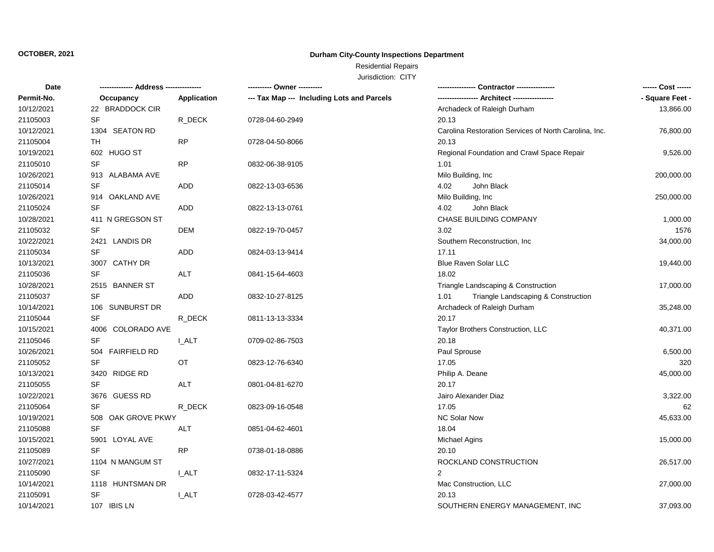## **Durham City-County Inspections Department**

# Residential Repairs

| Date       | ------------- Address -------------- |                    |                                            | Contractor ----------------                           | ------ Cost ------ |
|------------|--------------------------------------|--------------------|--------------------------------------------|-------------------------------------------------------|--------------------|
| Permit-No. | Occupancy                            | <b>Application</b> | --- Tax Map --- Including Lots and Parcels | -- Architect ----------------                         | - Square Feet -    |
| 10/12/2021 | 22 BRADDOCK CIR                      |                    |                                            | Archadeck of Raleigh Durham                           | 13,866.00          |
| 21105003   | <b>SF</b>                            | R_DECK             | 0728-04-60-2949                            | 20.13                                                 |                    |
| 10/12/2021 | 1304 SEATON RD                       |                    |                                            | Carolina Restoration Services of North Carolina, Inc. | 76,800.00          |
| 21105004   | <b>TH</b>                            | RP                 | 0728-04-50-8066                            | 20.13                                                 |                    |
| 10/19/2021 | 602 HUGO ST                          |                    |                                            | Regional Foundation and Crawl Space Repair            | 9,526.00           |
| 21105010   | SF                                   | RP                 | 0832-06-38-9105                            | 1.01                                                  |                    |
| 10/26/2021 | 913 ALABAMA AVE                      |                    |                                            | Milo Building, Inc                                    | 200,000.00         |
| 21105014   | SF                                   | ADD                | 0822-13-03-6536                            | John Black<br>4.02                                    |                    |
| 10/26/2021 | 914 OAKLAND AVE                      |                    |                                            | Milo Building, Inc                                    | 250,000.00         |
| 21105024   | $\ensuremath{\mathsf{SF}}\xspace$    | <b>ADD</b>         | 0822-13-13-0761                            | 4.02<br>John Black                                    |                    |
| 10/28/2021 | 411 N GREGSON ST                     |                    |                                            | CHASE BUILDING COMPANY                                | 1,000.00           |
| 21105032   | SF                                   | <b>DEM</b>         | 0822-19-70-0457                            | 3.02                                                  | 1576               |
| 10/22/2021 | 2421 LANDIS DR                       |                    |                                            | Southern Reconstruction, Inc.                         | 34,000.00          |
| 21105034   | SF                                   | ADD                | 0824-03-13-9414                            | 17.11                                                 |                    |
| 10/13/2021 | 3007 CATHY DR                        |                    |                                            | Blue Raven Solar LLC                                  | 19,440.00          |
| 21105036   | SF                                   | <b>ALT</b>         | 0841-15-64-4603                            | 18.02                                                 |                    |
| 10/28/2021 | 2515 BANNER ST                       |                    |                                            | Triangle Landscaping & Construction                   | 17,000.00          |
| 21105037   | SF                                   | ADD                | 0832-10-27-8125                            | Triangle Landscaping & Construction<br>1.01           |                    |
| 10/14/2021 | 106 SUNBURST DR                      |                    |                                            | Archadeck of Raleigh Durham                           | 35,248.00          |
| 21105044   | SF                                   | R_DECK             | 0811-13-13-3334                            | 20.17                                                 |                    |
| 10/15/2021 | 4006 COLORADO AVE                    |                    |                                            | Taylor Brothers Construction, LLC                     | 40,371.00          |
| 21105046   | <b>SF</b>                            | <b>LALT</b>        | 0709-02-86-7503                            | 20.18                                                 |                    |
| 10/26/2021 | 504 FAIRFIELD RD                     |                    |                                            | Paul Sprouse                                          | 6,500.00           |
| 21105052   | <b>SF</b>                            | OT.                | 0823-12-76-6340                            | 17.05                                                 | 320                |
| 10/13/2021 | 3420 RIDGE RD                        |                    |                                            | Philip A. Deane                                       | 45,000.00          |
| 21105055   | SF                                   | <b>ALT</b>         | 0801-04-81-6270                            | 20.17                                                 |                    |
| 10/22/2021 | 3676 GUESS RD                        |                    |                                            | Jairo Alexander Diaz                                  | 3,322.00           |
| 21105064   | SF                                   | R_DECK             | 0823-09-16-0548                            | 17.05                                                 | 62                 |
| 10/19/2021 | 508 OAK GROVE PKWY                   |                    |                                            | NC Solar Now                                          | 45,633.00          |
| 21105088   | SF                                   | ALT                | 0851-04-62-4601                            | 18.04                                                 |                    |
| 10/15/2021 | 5901 LOYAL AVE                       |                    |                                            | Michael Agins                                         | 15,000.00          |
| 21105089   | <b>SF</b>                            | <b>RP</b>          | 0738-01-18-0886                            | 20.10                                                 |                    |
| 10/27/2021 | 1104 N MANGUM ST                     |                    |                                            | ROCKLAND CONSTRUCTION                                 | 26,517.00          |
| 21105090   | SF                                   | <b>LALT</b>        | 0832-17-11-5324                            | $\overline{2}$                                        |                    |
| 10/14/2021 | 1118 HUNTSMAN DR                     |                    |                                            | Mac Construction, LLC                                 | 27,000.00          |
| 21105091   | <b>SF</b>                            | I ALT              | 0728-03-42-4577                            | 20.13                                                 |                    |
| 10/14/2021 | 107 IBIS LN                          |                    |                                            | SOUTHERN ENERGY MANAGEMENT, INC                       | 37,093.00          |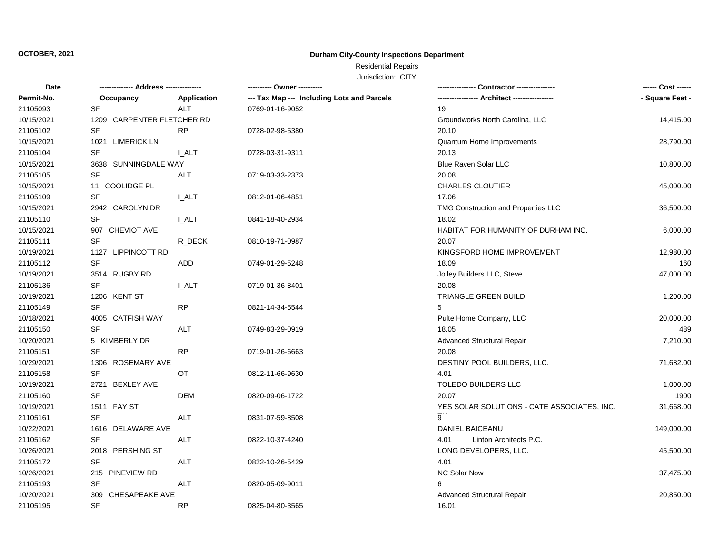## **Durham City-County Inspections Department**

# Residential Repairs

| Date       |                            |              | ---------- Owner ----------                | Contractor ----------------                 | ------ Cost ------ |
|------------|----------------------------|--------------|--------------------------------------------|---------------------------------------------|--------------------|
| Permit-No. | Occupancy                  | Application  | --- Tax Map --- Including Lots and Parcels |                                             | - Square Feet -    |
| 21105093   | <b>SF</b>                  | <b>ALT</b>   | 0769-01-16-9052                            | 19                                          |                    |
| 10/15/2021 | 1209 CARPENTER FLETCHER RD |              |                                            | Groundworks North Carolina, LLC             | 14,415.00          |
| 21105102   | SF                         | <b>RP</b>    | 0728-02-98-5380                            | 20.10                                       |                    |
| 10/15/2021 | 1021 LIMERICK LN           |              |                                            | Quantum Home Improvements                   | 28,790.00          |
| 21105104   | <b>SF</b>                  | I ALT        | 0728-03-31-9311                            | 20.13                                       |                    |
| 10/15/2021 | 3638 SUNNINGDALE WAY       |              |                                            | Blue Raven Solar LLC                        | 10,800.00          |
| 21105105   | SF                         | ALT          | 0719-03-33-2373                            | 20.08                                       |                    |
| 10/15/2021 | 11 COOLIDGE PL             |              |                                            | <b>CHARLES CLOUTIER</b>                     | 45,000.00          |
| 21105109   | <b>SF</b>                  | I ALT        | 0812-01-06-4851                            | 17.06                                       |                    |
| 10/15/2021 | 2942 CAROLYN DR            |              |                                            | TMG Construction and Properties LLC         | 36,500.00          |
| 21105110   | SF                         | <b>I_ALT</b> | 0841-18-40-2934                            | 18.02                                       |                    |
| 10/15/2021 | 907 CHEVIOT AVE            |              |                                            | HABITAT FOR HUMANITY OF DURHAM INC.         | 6,000.00           |
| 21105111   | <b>SF</b>                  | R DECK       | 0810-19-71-0987                            | 20.07                                       |                    |
| 10/19/2021 | 1127 LIPPINCOTT RD         |              |                                            | KINGSFORD HOME IMPROVEMENT                  | 12,980.00          |
| 21105112   | SF                         | <b>ADD</b>   | 0749-01-29-5248                            | 18.09                                       | 160                |
| 10/19/2021 | 3514 RUGBY RD              |              |                                            | Jolley Builders LLC, Steve                  | 47,000.00          |
| 21105136   | <b>SF</b>                  | I ALT        | 0719-01-36-8401                            | 20.08                                       |                    |
| 10/19/2021 | 1206 KENT ST               |              |                                            | TRIANGLE GREEN BUILD                        | 1,200.00           |
| 21105149   | SF                         | <b>RP</b>    | 0821-14-34-5544                            |                                             |                    |
| 10/18/2021 | 4005 CATFISH WAY           |              |                                            | Pulte Home Company, LLC                     | 20,000.00          |
| 21105150   | <b>SF</b>                  | <b>ALT</b>   | 0749-83-29-0919                            | 18.05                                       | 489                |
| 10/20/2021 | 5 KIMBERLY DR              |              |                                            | <b>Advanced Structural Repair</b>           | 7,210.00           |
| 21105151   | SF                         | <b>RP</b>    | 0719-01-26-6663                            | 20.08                                       |                    |
| 10/29/2021 | 1306 ROSEMARY AVE          |              |                                            | DESTINY POOL BUILDERS, LLC.                 | 71,682.00          |
| 21105158   | <b>SF</b>                  | OT           | 0812-11-66-9630                            | 4.01                                        |                    |
| 10/19/2021 | 2721 BEXLEY AVE            |              |                                            | <b>TOLEDO BUILDERS LLC</b>                  | 1,000.00           |
| 21105160   | <b>SF</b>                  | <b>DEM</b>   | 0820-09-06-1722                            | 20.07                                       | 1900               |
| 10/19/2021 | 1511 FAY ST                |              |                                            | YES SOLAR SOLUTIONS - CATE ASSOCIATES, INC. | 31,668.00          |
| 21105161   | <b>SF</b>                  | <b>ALT</b>   | 0831-07-59-8508                            | 9                                           |                    |
| 10/22/2021 | 1616 DELAWARE AVE          |              |                                            | DANIEL BAICEANU                             | 149,000.00         |
| 21105162   | SF                         | ALT          | 0822-10-37-4240                            | Linton Architects P.C.<br>4.01              |                    |
| 10/26/2021 | 2018 PERSHING ST           |              |                                            | LONG DEVELOPERS, LLC.                       | 45,500.00          |
| 21105172   | <b>SF</b>                  | <b>ALT</b>   | 0822-10-26-5429                            | 4.01                                        |                    |
| 10/26/2021 | 215 PINEVIEW RD            |              |                                            | <b>NC Solar Now</b>                         | 37,475.00          |
| 21105193   | SF                         | <b>ALT</b>   | 0820-05-09-9011                            | 6                                           |                    |
| 10/20/2021 | 309 CHESAPEAKE AVE         |              |                                            | <b>Advanced Structural Repair</b>           | 20,850.00          |
| 21105195   | <b>SF</b>                  | <b>RP</b>    | 0825-04-80-3565                            | 16.01                                       |                    |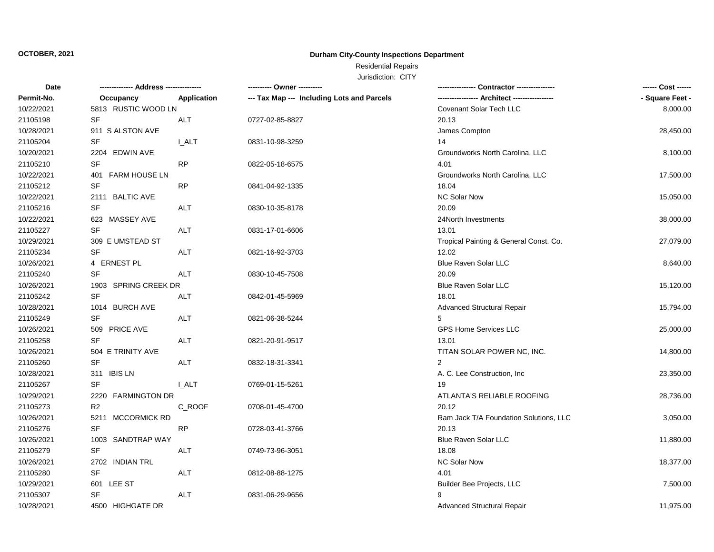## **Durham City-County Inspections Department**

# Residential Repairs

| Date       |                      |              | ---------- Owner ----------                |                                        | ------ Cost ------ |
|------------|----------------------|--------------|--------------------------------------------|----------------------------------------|--------------------|
| Permit-No. | Occupancy            | Application  | --- Tax Map --- Including Lots and Parcels |                                        | - Square Feet -    |
| 10/22/2021 | 5813 RUSTIC WOOD LN  |              |                                            | Covenant Solar Tech LLC                | 8,000.00           |
| 21105198   | SF                   | ALT          | 0727-02-85-8827                            | 20.13                                  |                    |
| 10/28/2021 | 911 S ALSTON AVE     |              |                                            | James Compton                          | 28,450.00          |
| 21105204   | <b>SF</b>            | <b>I_ALT</b> | 0831-10-98-3259                            | 14                                     |                    |
| 10/20/2021 | 2204 EDWIN AVE       |              |                                            | Groundworks North Carolina, LLC        | 8,100.00           |
| 21105210   | <b>SF</b>            | <b>RP</b>    | 0822-05-18-6575                            | 4.01                                   |                    |
| 10/22/2021 | 401 FARM HOUSE LN    |              |                                            | Groundworks North Carolina, LLC        | 17,500.00          |
| 21105212   | SF                   | <b>RP</b>    | 0841-04-92-1335                            | 18.04                                  |                    |
| 10/22/2021 | 2111 BALTIC AVE      |              |                                            | <b>NC Solar Now</b>                    | 15,050.00          |
| 21105216   | <b>SF</b>            | ALT          | 0830-10-35-8178                            | 20.09                                  |                    |
| 10/22/2021 | 623 MASSEY AVE       |              |                                            | 24North Investments                    | 38,000.00          |
| 21105227   | <b>SF</b>            | <b>ALT</b>   | 0831-17-01-6606                            | 13.01                                  |                    |
| 10/29/2021 | 309 E UMSTEAD ST     |              |                                            | Tropical Painting & General Const. Co. | 27,079.00          |
| 21105234   | SF                   | ALT          | 0821-16-92-3703                            | 12.02                                  |                    |
| 10/26/2021 | 4 ERNEST PL          |              |                                            | Blue Raven Solar LLC                   | 8,640.00           |
| 21105240   | SF                   | ALT          | 0830-10-45-7508                            | 20.09                                  |                    |
| 10/26/2021 | 1903 SPRING CREEK DR |              |                                            | <b>Blue Raven Solar LLC</b>            | 15,120.00          |
| 21105242   | SF                   | ALT          | 0842-01-45-5969                            | 18.01                                  |                    |
| 10/28/2021 | 1014 BURCH AVE       |              |                                            | <b>Advanced Structural Repair</b>      | 15,794.00          |
| 21105249   | <b>SF</b>            | <b>ALT</b>   | 0821-06-38-5244                            |                                        |                    |
| 10/26/2021 | 509 PRICE AVE        |              |                                            | GPS Home Services LLC                  | 25,000.00          |
| 21105258   | <b>SF</b>            | <b>ALT</b>   | 0821-20-91-9517                            | 13.01                                  |                    |
| 10/26/2021 | 504 E TRINITY AVE    |              |                                            | TITAN SOLAR POWER NC, INC.             | 14,800.00          |
| 21105260   | SF                   | ALT          | 0832-18-31-3341                            | $\overline{2}$                         |                    |
| 10/28/2021 | 311 IBIS LN          |              |                                            | A. C. Lee Construction, Inc.           | 23,350.00          |
| 21105267   | <b>SF</b>            | <b>LALT</b>  | 0769-01-15-5261                            | 19                                     |                    |
| 10/29/2021 | 2220 FARMINGTON DR   |              |                                            | ATLANTA'S RELIABLE ROOFING             | 28,736.00          |
| 21105273   | R <sub>2</sub>       | C_ROOF       | 0708-01-45-4700                            | 20.12                                  |                    |
| 10/26/2021 | 5211 MCCORMICK RD    |              |                                            | Ram Jack T/A Foundation Solutions, LLC | 3,050.00           |
| 21105276   | SF                   | <b>RP</b>    | 0728-03-41-3766                            | 20.13                                  |                    |
| 10/26/2021 | 1003 SANDTRAP WAY    |              |                                            | Blue Raven Solar LLC                   | 11,880.00          |
| 21105279   | <b>SF</b>            | ALT          | 0749-73-96-3051                            | 18.08                                  |                    |
| 10/26/2021 | 2702 INDIAN TRL      |              |                                            | <b>NC Solar Now</b>                    | 18,377.00          |
| 21105280   | SF                   | <b>ALT</b>   | 0812-08-88-1275                            | 4.01                                   |                    |
| 10/29/2021 | 601 LEE ST           |              |                                            | Builder Bee Projects, LLC              | 7,500.00           |
| 21105307   | <b>SF</b>            | ALT          | 0831-06-29-9656                            |                                        |                    |
| 10/28/2021 | 4500 HIGHGATE DR     |              |                                            | <b>Advanced Structural Repair</b>      | 11,975.00          |